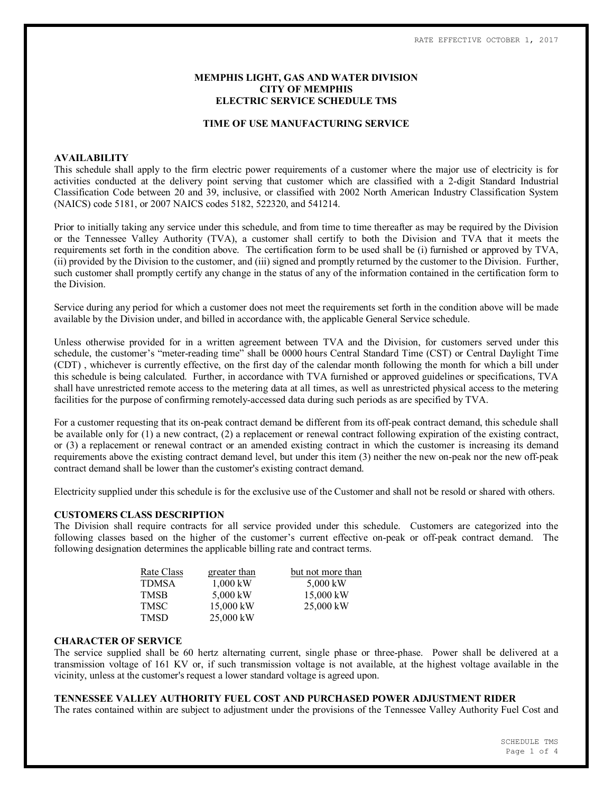# **MEMPHIS LIGHT, GAS AND WATER DIVISION CITY OF MEMPHIS ELECTRIC SERVICE SCHEDULE TMS**

### **TIME OF USE MANUFACTURING SERVICE**

### **AVAILABILITY**

This schedule shall apply to the firm electric power requirements of a customer where the major use of electricity is for activities conducted at the delivery point serving that customer which are classified with a 2-digit Standard Industrial Classification Code between 20 and 39, inclusive, or classified with 2002 North American Industry Classification System (NAICS) code 5181, or 2007 NAICS codes 5182, 522320, and 541214.

Prior to initially taking any service under this schedule, and from time to time thereafter as may be required by the Division or the Tennessee Valley Authority (TVA), a customer shall certify to both the Division and TVA that it meets the requirements set forth in the condition above. The certification form to be used shall be (i) furnished or approved by TVA, (ii) provided by the Division to the customer, and (iii) signed and promptly returned by the customer to the Division. Further, such customer shall promptly certify any change in the status of any of the information contained in the certification form to the Division.

Service during any period for which a customer does not meet the requirements set forth in the condition above will be made available by the Division under, and billed in accordance with, the applicable General Service schedule.

Unless otherwise provided for in a written agreement between TVA and the Division, for customers served under this schedule, the customer's "meter-reading time" shall be 0000 hours Central Standard Time (CST) or Central Daylight Time (CDT) , whichever is currently effective, on the first day of the calendar month following the month for which a bill under this schedule is being calculated. Further, in accordance with TVA furnished or approved guidelines or specifications, TVA shall have unrestricted remote access to the metering data at all times, as well as unrestricted physical access to the metering facilities for the purpose of confirming remotely-accessed data during such periods as are specified by TVA.

For a customer requesting that its on-peak contract demand be different from its off-peak contract demand, this schedule shall be available only for (1) a new contract, (2) a replacement or renewal contract following expiration of the existing contract, or (3) a replacement or renewal contract or an amended existing contract in which the customer is increasing its demand requirements above the existing contract demand level, but under this item (3) neither the new on-peak nor the new off-peak contract demand shall be lower than the customer's existing contract demand.

Electricity supplied under this schedule is for the exclusive use of the Customer and shall not be resold or shared with others.

#### **CUSTOMERS CLASS DESCRIPTION**

The Division shall require contracts for all service provided under this schedule. Customers are categorized into the following classes based on the higher of the customer's current effective on-peak or off-peak contract demand. The following designation determines the applicable billing rate and contract terms.

| Rate Class | greater than | but not more than |
|------------|--------------|-------------------|
| TDMSA      | $1,000$ kW   | 5,000 kW          |
| TMSB       | 5,000 kW     | $15,000$ kW       |
| TMSC       | 15,000 kW    | $25,000$ kW       |
| TMSD       | 25,000 kW    |                   |

#### **CHARACTER OF SERVICE**

The service supplied shall be 60 hertz alternating current, single phase or three-phase. Power shall be delivered at a transmission voltage of 161 KV or, if such transmission voltage is not available, at the highest voltage available in the vicinity, unless at the customer's request a lower standard voltage is agreed upon.

# **TENNESSEE VALLEY AUTHORITY FUEL COST AND PURCHASED POWER ADJUSTMENT RIDER**

The rates contained within are subject to adjustment under the provisions of the Tennessee Valley Authority Fuel Cost and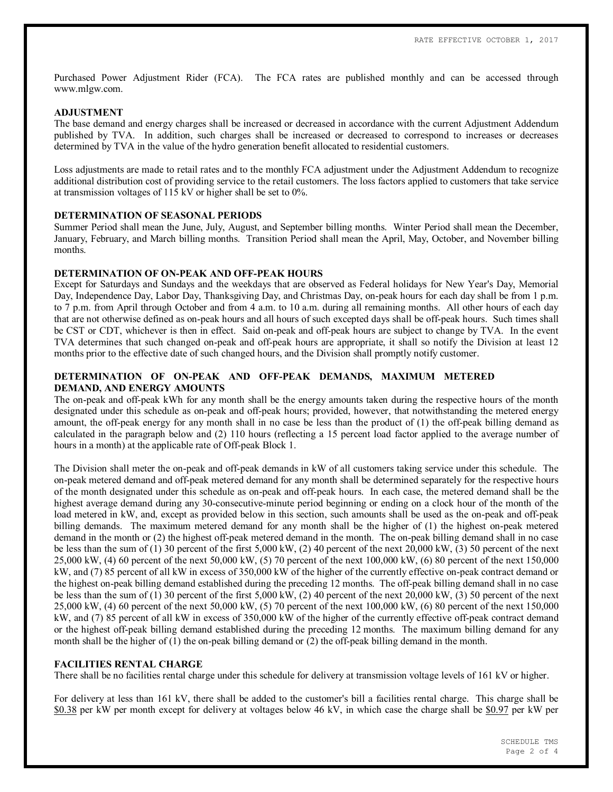Purchased Power Adjustment Rider (FCA). The FCA rates are published monthly and can be accessed through www.mlgw.com.

### **ADJUSTMENT**

The base demand and energy charges shall be increased or decreased in accordance with the current Adjustment Addendum published by TVA. In addition, such charges shall be increased or decreased to correspond to increases or decreases determined by TVA in the value of the hydro generation benefit allocated to residential customers.

Loss adjustments are made to retail rates and to the monthly FCA adjustment under the Adjustment Addendum to recognize additional distribution cost of providing service to the retail customers. The loss factors applied to customers that take service at transmission voltages of 115 kV or higher shall be set to 0%.

## **DETERMINATION OF SEASONAL PERIODS**

Summer Period shall mean the June, July, August, and September billing months. Winter Period shall mean the December, January, February, and March billing months. Transition Period shall mean the April, May, October, and November billing months.

# **DETERMINATION OF ON-PEAK AND OFF-PEAK HOURS**

Except for Saturdays and Sundays and the weekdays that are observed as Federal holidays for New Year's Day, Memorial Day, Independence Day, Labor Day, Thanksgiving Day, and Christmas Day, on-peak hours for each day shall be from 1 p.m. to 7 p.m. from April through October and from 4 a.m. to 10 a.m. during all remaining months. All other hours of each day that are not otherwise defined as on-peak hours and all hours of such excepted days shall be off-peak hours. Such times shall be CST or CDT, whichever is then in effect. Said on-peak and off-peak hours are subject to change by TVA. In the event TVA determines that such changed on-peak and off-peak hours are appropriate, it shall so notify the Division at least 12 months prior to the effective date of such changed hours, and the Division shall promptly notify customer.

# **DETERMINATION OF ON-PEAK AND OFF-PEAK DEMANDS, MAXIMUM METERED DEMAND, AND ENERGY AMOUNTS**

The on-peak and off-peak kWh for any month shall be the energy amounts taken during the respective hours of the month designated under this schedule as on-peak and off-peak hours; provided, however, that notwithstanding the metered energy amount, the off-peak energy for any month shall in no case be less than the product of (1) the off-peak billing demand as calculated in the paragraph below and (2) 110 hours (reflecting a 15 percent load factor applied to the average number of hours in a month) at the applicable rate of Off-peak Block 1.

The Division shall meter the on-peak and off-peak demands in kW of all customers taking service under this schedule. The on-peak metered demand and off-peak metered demand for any month shall be determined separately for the respective hours of the month designated under this schedule as on-peak and off-peak hours. In each case, the metered demand shall be the highest average demand during any 30-consecutive-minute period beginning or ending on a clock hour of the month of the load metered in kW, and, except as provided below in this section, such amounts shall be used as the on-peak and off-peak billing demands. The maximum metered demand for any month shall be the higher of (1) the highest on-peak metered demand in the month or (2) the highest off-peak metered demand in the month. The on-peak billing demand shall in no case be less than the sum of (1) 30 percent of the first 5,000 kW, (2) 40 percent of the next 20,000 kW, (3) 50 percent of the next 25,000 kW, (4) 60 percent of the next 50,000 kW, (5) 70 percent of the next 100,000 kW, (6) 80 percent of the next 150,000 kW, and (7) 85 percent of all kW in excess of 350,000 kW of the higher of the currently effective on-peak contract demand or the highest on-peak billing demand established during the preceding 12 months. The off-peak billing demand shall in no case be less than the sum of (1) 30 percent of the first 5,000 kW, (2) 40 percent of the next 20,000 kW, (3) 50 percent of the next 25,000 kW, (4) 60 percent of the next 50,000 kW, (5) 70 percent of the next 100,000 kW, (6) 80 percent of the next 150,000 kW, and (7) 85 percent of all kW in excess of 350,000 kW of the higher of the currently effective off-peak contract demand or the highest off-peak billing demand established during the preceding 12 months. The maximum billing demand for any month shall be the higher of (1) the on-peak billing demand or (2) the off-peak billing demand in the month.

#### **FACILITIES RENTAL CHARGE**

There shall be no facilities rental charge under this schedule for delivery at transmission voltage levels of 161 kV or higher.

For delivery at less than 161 kV, there shall be added to the customer's bill a facilities rental charge. This charge shall be \$0.38 per kW per month except for delivery at voltages below 46 kV, in which case the charge shall be \$0.97 per kW per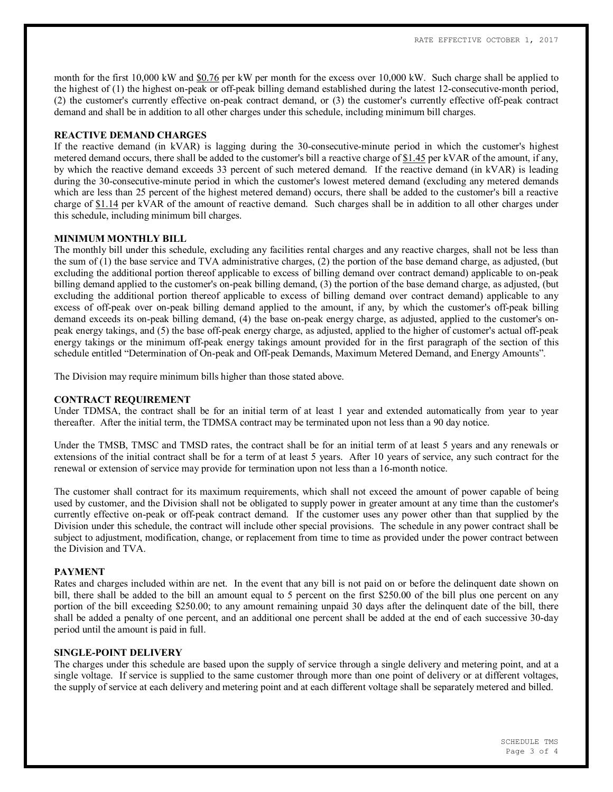month for the first 10,000 kW and \$0.76 per kW per month for the excess over 10,000 kW. Such charge shall be applied to the highest of (1) the highest on-peak or off-peak billing demand established during the latest 12-consecutive-month period, (2) the customer's currently effective on-peak contract demand, or (3) the customer's currently effective off-peak contract demand and shall be in addition to all other charges under this schedule, including minimum bill charges.

### **REACTIVE DEMAND CHARGES**

If the reactive demand (in kVAR) is lagging during the 30-consecutive-minute period in which the customer's highest metered demand occurs, there shall be added to the customer's bill a reactive charge of \$1.45 per kVAR of the amount, if any, by which the reactive demand exceeds 33 percent of such metered demand. If the reactive demand (in kVAR) is leading during the 30-consecutive-minute period in which the customer's lowest metered demand (excluding any metered demands which are less than 25 percent of the highest metered demand) occurs, there shall be added to the customer's bill a reactive charge of \$1.14 per kVAR of the amount of reactive demand. Such charges shall be in addition to all other charges under this schedule, including minimum bill charges.

### **MINIMUM MONTHLY BILL**

The monthly bill under this schedule, excluding any facilities rental charges and any reactive charges, shall not be less than the sum of (1) the base service and TVA administrative charges, (2) the portion of the base demand charge, as adjusted, (but excluding the additional portion thereof applicable to excess of billing demand over contract demand) applicable to on-peak billing demand applied to the customer's on-peak billing demand, (3) the portion of the base demand charge, as adjusted, (but excluding the additional portion thereof applicable to excess of billing demand over contract demand) applicable to any excess of off-peak over on-peak billing demand applied to the amount, if any, by which the customer's off-peak billing demand exceeds its on-peak billing demand, (4) the base on-peak energy charge, as adjusted, applied to the customer's onpeak energy takings, and (5) the base off-peak energy charge, as adjusted, applied to the higher of customer's actual off-peak energy takings or the minimum off-peak energy takings amount provided for in the first paragraph of the section of this schedule entitled "Determination of On-peak and Off-peak Demands, Maximum Metered Demand, and Energy Amounts".

The Division may require minimum bills higher than those stated above.

# **CONTRACT REQUIREMENT**

Under TDMSA, the contract shall be for an initial term of at least 1 year and extended automatically from year to year thereafter. After the initial term, the TDMSA contract may be terminated upon not less than a 90 day notice.

Under the TMSB, TMSC and TMSD rates, the contract shall be for an initial term of at least 5 years and any renewals or extensions of the initial contract shall be for a term of at least 5 years. After 10 years of service, any such contract for the renewal or extension of service may provide for termination upon not less than a 16-month notice.

The customer shall contract for its maximum requirements, which shall not exceed the amount of power capable of being used by customer, and the Division shall not be obligated to supply power in greater amount at any time than the customer's currently effective on-peak or off-peak contract demand. If the customer uses any power other than that supplied by the Division under this schedule, the contract will include other special provisions. The schedule in any power contract shall be subject to adjustment, modification, change, or replacement from time to time as provided under the power contract between the Division and TVA.

# **PAYMENT**

Rates and charges included within are net. In the event that any bill is not paid on or before the delinquent date shown on bill, there shall be added to the bill an amount equal to 5 percent on the first \$250.00 of the bill plus one percent on any portion of the bill exceeding \$250.00; to any amount remaining unpaid 30 days after the delinquent date of the bill, there shall be added a penalty of one percent, and an additional one percent shall be added at the end of each successive 30-day period until the amount is paid in full.

### **SINGLE-POINT DELIVERY**

The charges under this schedule are based upon the supply of service through a single delivery and metering point, and at a single voltage. If service is supplied to the same customer through more than one point of delivery or at different voltages, the supply of service at each delivery and metering point and at each different voltage shall be separately metered and billed.